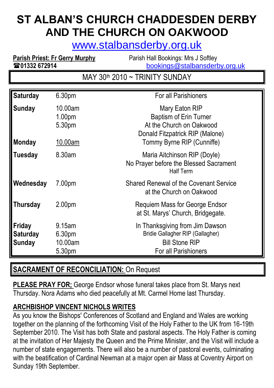# **ST ALBAN'S CHURCH CHADDESDEN DERBY AND THE CHURCH ON OAKWOOD**

[www.stalbansderby.org.uk](http://www.stalbansderby.org.uk/)

**Parish Priest: Fr Gerry Murphy** Parish Hall Bookings: Mrs J Softley **201332 672914** [bookings@stalbansderby.org.uk](mailto:bookings@stalbansderby.org.uk)

MAY 30<sup>th</sup> 2010 ~ TRINITY SUNDAY

| <b>Saturday</b>                            | 6.30pm                                             | For all Parishioners                                                                                                                         |
|--------------------------------------------|----------------------------------------------------|----------------------------------------------------------------------------------------------------------------------------------------------|
| <b>Sunday</b><br><b>Monday</b>             | 10.00am<br>1.00 <sub>pm</sub><br>5.30pm<br>10.00am | Mary Eaton RIP<br><b>Baptism of Erin Turner</b><br>At the Church on Oakwood<br>Donald Fitzpatrick RIP (Malone)<br>Tommy Byrne RIP (Cunniffe) |
| Tuesday                                    | 8.30am                                             | Maria Aitchinson RIP (Doyle)<br>No Prayer before the Blessed Sacrament<br><b>Half Term</b>                                                   |
| Wednesday                                  | 7.00pm                                             | <b>Shared Renewal of the Covenant Service</b><br>at the Church on Oakwood                                                                    |
| <b>Thursday</b>                            | 2.00 <sub>pm</sub>                                 | Requiem Mass for George Endsor<br>at St. Marys' Church, Bridgegate.                                                                          |
| Friday<br><b>Saturday</b><br><b>Sunday</b> | 9.15am<br>6.30pm<br>10.00am<br>5.30pm              | In Thanksgiving from Jim Dawson<br><b>Bridie Gallagher RIP (Gallagher)</b><br><b>Bill Stone RIP</b><br>For all Parishioners                  |

## **SACRAMENT OF RECONCILIATION:** On Request

**PLEASE PRAY FOR;** George Endsor whose funeral takes place from St. Marys next Thursday. Nora Adams who died peacefully at Mt. Carmel Home last Thursday.

## **ARCHBISHOP VINCENT NICHOLS WRITES**

As you know the Bishops' Conferences of Scotland and England and Wales are working together on the planning of the forthcoming Visit of the Holy Father to the UK from 16-19th September 2010. The Visit has both State and pastoral aspects. The Holy Father is coming at the invitation of Her Majesty the Queen and the Prime Minister, and the Visit will include a number of state engagements. There will also be a number of pastoral events, culminating with the beatification of Cardinal Newman at a major open air Mass at Coventry Airport on Sunday 19th September.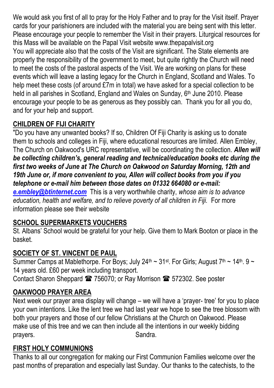We would ask you first of all to pray for the Holy Father and to pray for the Visit itself. Prayer cards for your parishioners are included with the material you are being sent with this letter. Please encourage your people to remember the Visit in their prayers. Liturgical resources for this Mass will be available on the Papal Visit website www.thepapalvisit.org You will appreciate also that the costs of the Visit are significant. The State elements are properly the responsibility of the government to meet, but quite rightly the Church will need to meet the costs of the pastoral aspects of the Visit. We are working on plans for these events which will leave a lasting legacy for the Church in England, Scotland and Wales. To help meet these costs (of around £7m in total) we have asked for a special collection to be held in all parishes in Scotland, England and Wales on Sunday, 6<sup>th</sup> June 2010. Please encourage your people to be as generous as they possibly can. Thank you for all you do, and for your help and support.

## **CHILDREN OF FIJI CHARITY**

"Do you have any unwanted books? If so, Children Of Fiji Charity is asking us to donate them to schools and colleges in Fiji, where educational resources are limited. Allen Embley, The Church on Oakwood's URC representative, will be coordinating the collection. *Allen will be collecting children's, general reading and technical/education books etc during the first two weeks of June at The Church on Oakwood on Saturday Morning, 12th and 19th June or, if more convenient to you, Allen will collect books from you if you telephone or e-mail him between those dates on 01332 664080 or e-mail: [e.embley@btinternet.com](mailto:e.embley@btinternet.com)* This is a very worthwhile charity, *whose aim is to advance education, health and welfare, and to relieve poverty of all children in Fiji.* For more information please see their website

## **SCHOOL SUPERMARKETS VOUCHERS**

St. Albans' School would be grateful for your help. Give them to Mark Booton or place in the basket.

## **SOCIETY OF ST. VINCENT DE PAUL**

Summer Camps at Mablethorpe. For Boys; July 24<sup>th</sup> ~ 31<sup>st</sup>. For Girls; August 7<sup>th</sup> ~ 14<sup>th</sup>. 9 ~ 14 years old. £60 per week including transport. Contact Sharon Sheppard <sup>2</sup> 756070; or Ray Morrison <sup>2</sup> 572302. See poster

## **OAKWOOD PRAYER AREA**

Next week our prayer area display will change – we will have a 'prayer- tree' for you to place your own intentions. Like the lent tree we had last year we hope to see the tree blossom with both your prayers and those of our fellow Christians at the Church on Oakwood. Please make use of this tree and we can then include all the intentions in our weekly bidding prayers. Sandra.

#### **FIRST HOLY COMMUNIONS**

Thanks to all our congregation for making our First Communion Families welcome over the past months of preparation and especially last Sunday. Our thanks to the catechists, to the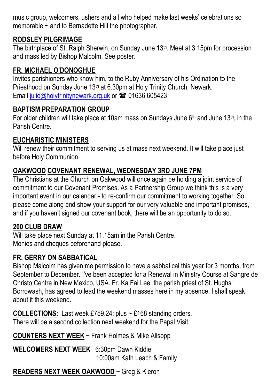music group, welcomers, ushers and all who helped make last weeks' celebrations so memorable  $\sim$  and to Bernadette Hill the photographer.

#### **RODSLEY PILGRIMAGE**

The birthplace of St. Ralph Sherwin, on Sunday June 13th. Meet at 3.15pm for procession and mass led by Bishop Malcolm. See poster.

#### **FR. MICHAEL O'DONOGHUE**

Invites parishioners who know him, to the Ruby Anniversary of his Ordination to the Priesthood on Sunday June 13th at 6.30pm at Holy Trinity Church, Newark. Email [julie@holytrinitynewark.org.uk](mailto:julie@holytrinitynewark.org.uk) or  $\approx 01636 605423$ 

#### **BAPTISM PREPARATION GROUP**

For older children will take place at 10am mass on Sundays June  $6<sup>th</sup>$  and June 13<sup>th</sup>, in the Parish Centre.

#### **EUCHARISTIC MINISTERS**

Will renew their commitment to serving us at mass next weekend. It will take place just before Holy Communion.

#### **OAKWOOD COVENANT RENEWAL, WEDNESDAY 3RD JUNE 7PM**

The Christians at the Church on Oakwood will once again be holding a joint service of commitment to our Covenant Promises. As a Partnership Group we think this is a very important event in our calendar - to re-confirm our commitment to working together. So please come along and show your support for our very valuable and important promises, and if you haven't signed our covenant book, there will be an opportunity to do so.

#### **200 CLUB DRAW**

Will take place next Sunday at 11.15am in the Parish Centre. Monies and cheques beforehand please.

#### **FR. GERRY ON SABBATICAL**

Bishop Malcolm has given me permission to have a sabbatical this year for 3 months, from September to December. I've been accepted for a Renewal in Ministry Course at Sangre de Christo Centre in New Mexico, USA. Fr. Ka Fai Lee, the parish priest of St. Hughs' Borrowash, has agreed to lead the weekend masses here in my absence. I shall speak about it this weekend.

**COLLECTIONS:** Last week £759.24; plus ~ £168 standing orders. There will be a second collection next weekend for the Papal Visit.

**COUNTERS NEXT WEEK** ~ Frank Holmes & Mike Allsopp

**WELCOMERS NEXT WEEK** 6:30pm Dawn Kiddie 10:00am Kath Leach & Family

#### **READERS NEXT WEEK OAKWOOD** ~ Greg & Kieron